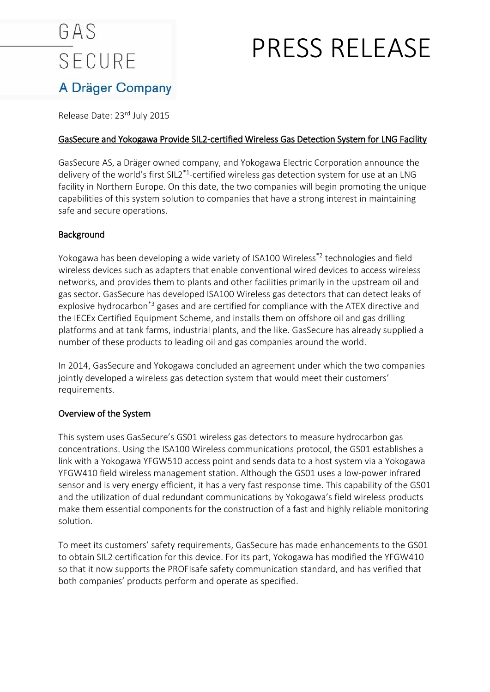# GAS **SECURE**

## PRESS RELEASE

### A Dräger Company

Release Date: 23rd July 2015

### GasSecure and Yokogawa Provide SIL2-certified Wireless Gas Detection System for LNG Facility

GasSecure AS, a Dräger owned company, and Yokogawa Electric Corporation announce the delivery of the world's first SIL2<sup>\*1</sup>-certified wireless gas detection system for use at an LNG facility in Northern Europe. On this date, the two companies will begin promoting the unique capabilities of this system solution to companies that have a strong interest in maintaining safe and secure operations.

#### Background

Yokogawa has been developing a wide variety of ISA100 Wireless\*2 technologies and field wireless devices such as adapters that enable conventional wired devices to access wireless networks, and provides them to plants and other facilities primarily in the upstream oil and gas sector. GasSecure has developed ISA100 Wireless gas detectors that can detect leaks of explosive hydrocarbon<sup>\*3</sup> gases and are certified for compliance with the ATEX directive and the IECEx Certified Equipment Scheme, and installs them on offshore oil and gas drilling platforms and at tank farms, industrial plants, and the like. GasSecure has already supplied a number of these products to leading oil and gas companies around the world.

In 2014, GasSecure and Yokogawa concluded an agreement under which the two companies jointly developed a wireless gas detection system that would meet their customers' requirements.

### Overview of the System

This system uses GasSecure's GS01 wireless gas detectors to measure hydrocarbon gas concentrations. Using the ISA100 Wireless communications protocol, the GS01 establishes a link with a Yokogawa YFGW510 access point and sends data to a host system via a Yokogawa YFGW410 field wireless management station. Although the GS01 uses a low-power infrared sensor and is very energy efficient, it has a very fast response time. This capability of the GS01 and the utilization of dual redundant communications by Yokogawa's field wireless products make them essential components for the construction of a fast and highly reliable monitoring solution.

To meet its customers' safety requirements, GasSecure has made enhancements to the GS01 to obtain SIL2 certification for this device. For its part, Yokogawa has modified the YFGW410 so that it now supports the PROFIsafe safety communication standard, and has verified that both companies' products perform and operate as specified.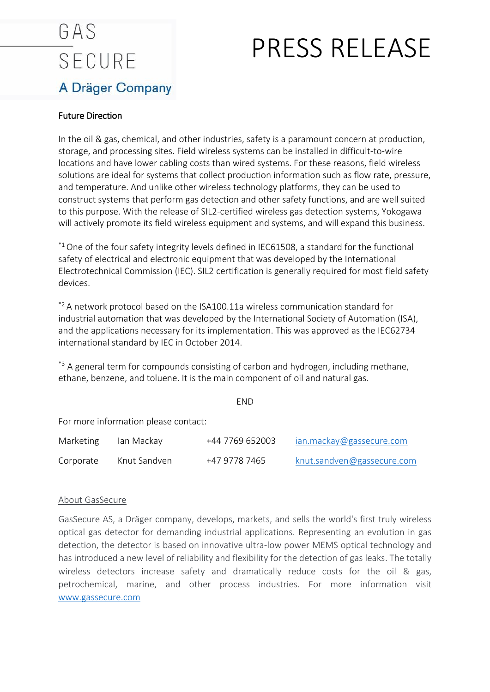### GAS **SECURE** A Dräger Company

## PRESS RELEASE

### Future Direction

In the oil & gas, chemical, and other industries, safety is a paramount concern at production, storage, and processing sites. Field wireless systems can be installed in difficult-to-wire locations and have lower cabling costs than wired systems. For these reasons, field wireless solutions are ideal for systems that collect production information such as flow rate, pressure, and temperature. And unlike other wireless technology platforms, they can be used to construct systems that perform gas detection and other safety functions, and are well suited to this purpose. With the release of SIL2-certified wireless gas detection systems, Yokogawa will actively promote its field wireless equipment and systems, and will expand this business.

 $*1$  One of the four safety integrity levels defined in IEC61508, a standard for the functional safety of electrical and electronic equipment that was developed by the International Electrotechnical Commission (IEC). SIL2 certification is generally required for most field safety devices.

 $*$ <sup>2</sup> A network protocol based on the ISA100.11a wireless communication standard for industrial automation that was developed by the International Society of Automation (ISA), and the applications necessary for its implementation. This was approved as the IEC62734 international standard by IEC in October 2014.

<sup>\*3</sup> A general term for compounds consisting of carbon and hydrogen, including methane, ethane, benzene, and toluene. It is the main component of oil and natural gas.

END

For more information please contact:

| Marketing | lan Mackay   | +44 7769 652003 | ian.mackay@gassecure.com   |
|-----------|--------------|-----------------|----------------------------|
| Corporate | Knut Sandven | +47 9778 7465   | knut.sandven@gassecure.com |

#### About GasSecure

GasSecure AS, a Dräger company, develops, markets, and sells the world's first truly wireless optical gas detector for demanding industrial applications. Representing an evolution in gas detection, the detector is based on innovative ultra-low power MEMS optical technology and has introduced a new level of reliability and flexibility for the detection of gas leaks. The totally wireless detectors increase safety and dramatically reduce costs for the oil & gas, petrochemical, marine, and other process industries. For more information visit [www.gassecure.com](http://www.gassecure.com/)